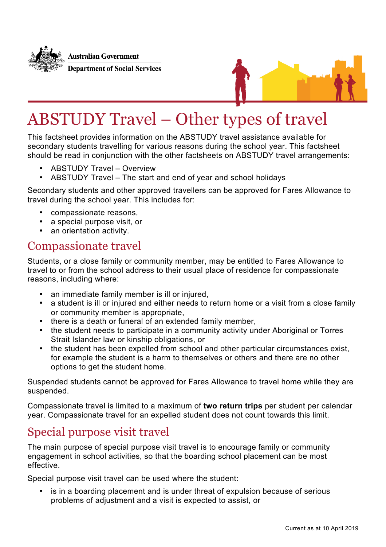



# ABSTUDY Travel – Other types of travel

This factsheet provides information on the ABSTUDY travel assistance available for secondary students travelling for various reasons during the school year. This factsheet should be read in conjunction with the other factsheets on ABSTUDY travel arrangements:

- ABSTUDY Travel Overview
- ABSTUDY Travel The start and end of year and school holidays

Secondary students and other approved travellers can be approved for Fares Allowance to travel during the school year. This includes for:

- compassionate reasons,
- a special purpose visit, or
- an orientation activity.

#### Compassionate travel

Students, or a close family or community member, may be entitled to Fares Allowance to travel to or from the school address to their usual place of residence for compassionate reasons, including where:

- an immediate family member is ill or injured,<br>• a student is ill or injured and either needs to
- a student is ill or injured and either needs to return home or a visit from a close family or community member is appropriate,
- there is a death or funeral of an extended family member,
- the student needs to participate in a community activity under Aboriginal or Torres Strait Islander law or kinship obligations, or
- the student has been expelled from school and other particular circumstances exist, for example the student is a harm to themselves or others and there are no other options to get the student home.

Suspended students cannot be approved for Fares Allowance to travel home while they are suspended.

Compassionate travel is limited to a maximum of **two return trips** per student per calendar year. Compassionate travel for an expelled student does not count towards this limit.

#### Special purpose visit travel

The main purpose of special purpose visit travel is to encourage family or community engagement in school activities, so that the boarding school placement can be most effective.

Special purpose visit travel can be used where the student:

is in a boarding placement and is under threat of expulsion because of serious problems of adjustment and a visit is expected to assist, or